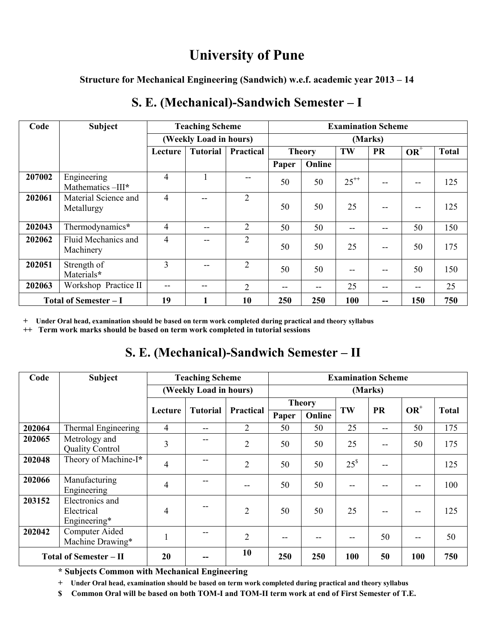# **University of Pune**

**Structure for Mechanical Engineering (Sandwich) w.e.f. academic year 2013 – 14**

| Code                         | <b>Subject</b>                     | <b>Teaching Scheme</b> |          |                | <b>Examination Scheme</b> |        |           |           |        |              |  |
|------------------------------|------------------------------------|------------------------|----------|----------------|---------------------------|--------|-----------|-----------|--------|--------------|--|
|                              |                                    | (Weekly Load in hours) |          |                | (Marks)                   |        |           |           |        |              |  |
|                              |                                    | Lecture                | Tutorial | Practical      | <b>Theory</b>             |        | TW        | <b>PR</b> | $OR^+$ | <b>Total</b> |  |
|                              |                                    |                        |          |                | Paper                     | Online |           |           |        |              |  |
| 207002                       | Engineering<br>Mathematics-III*    | 4                      |          |                | 50                        | 50     | $25^{++}$ |           | $- -$  | 125          |  |
| 202061                       | Material Science and<br>Metallurgy | 4                      | --       | $\overline{2}$ | 50                        | 50     | 25        | --        | $- -$  | 125          |  |
| 202043                       | Thermodynamics*                    | 4                      | --       | $\overline{2}$ | 50                        | 50     | --        | --        | 50     | 150          |  |
| 202062                       | Fluid Mechanics and<br>Machinery   | 4                      | --       | $\overline{2}$ | 50                        | 50     | 25        | $- -$     | 50     | 175          |  |
| 202051                       | Strength of<br>Materials*          | 3                      | --       | $\overline{2}$ | 50                        | 50     | $-$       | --        | 50     | 150          |  |
| 202063                       | Workshop Practice II               | --                     | --       | 2              | --                        | --     | 25        | --        | $- -$  | 25           |  |
| <b>Total of Semester - I</b> |                                    | 19                     |          | 10             | 250                       | 250    | 100       |           | 150    | 750          |  |

# **S. E. (Mechanical)-Sandwich Semester – I**

**+ Under Oral head, examination should be based on term work completed during practical and theory syllabus**

**++ Term work marks should be based on term work completed in tutorial sessions**

# **S. E. (Mechanical)-Sandwich Semester – II**

| Code                          | <b>Subject</b>                                | <b>Teaching Scheme</b> |                 |                | <b>Examination Scheme</b> |        |           |           |        |              |  |
|-------------------------------|-----------------------------------------------|------------------------|-----------------|----------------|---------------------------|--------|-----------|-----------|--------|--------------|--|
|                               |                                               | (Weekly Load in hours) |                 |                | (Marks)                   |        |           |           |        |              |  |
|                               |                                               |                        | <b>Tutorial</b> | Practical      | <b>Theory</b>             |        | TW        | <b>PR</b> | $OR^+$ | <b>Total</b> |  |
|                               |                                               | Lecture                |                 |                | Paper                     | Online |           |           |        |              |  |
| 202064                        | Thermal Engineering                           | $\overline{4}$         | --              | $\overline{2}$ | 50                        | 50     | 25        | --        | 50     | 175          |  |
| 202065                        | Metrology and<br><b>Quality Control</b>       | 3                      |                 | $\overline{2}$ | 50                        | 50     | 25        |           | 50     | 175          |  |
| 202048                        | Theory of Machine-I*                          | $\overline{4}$         |                 | $\overline{2}$ | 50                        | 50     | $25^{\$}$ |           |        | 125          |  |
| 202066                        | Manufacturing<br>Engineering                  | $\overline{4}$         |                 | --             | 50                        | 50     | --        |           | --     | 100          |  |
| 203152                        | Electronics and<br>Electrical<br>Engineering* | 4                      |                 | $\overline{2}$ | 50                        | 50     | 25        | --        | $- -$  | 125          |  |
| 202042                        | Computer Aided<br>Machine Drawing*            | $\mathbf{1}$           |                 | 2              | --                        |        | --        | 50        | $- -$  | 50           |  |
| <b>Total of Semester - II</b> |                                               | 20                     |                 | 10             | 250                       | 250    | 100       | 50        | 100    | 750          |  |

**\* Subjects Common with Mechanical Engineering** 

**+ Under Oral head, examination should be based on term work completed during practical and theory syllabus**

**\$ Common Oral will be based on both TOM-I and TOM-II term work at end of First Semester of T.E.**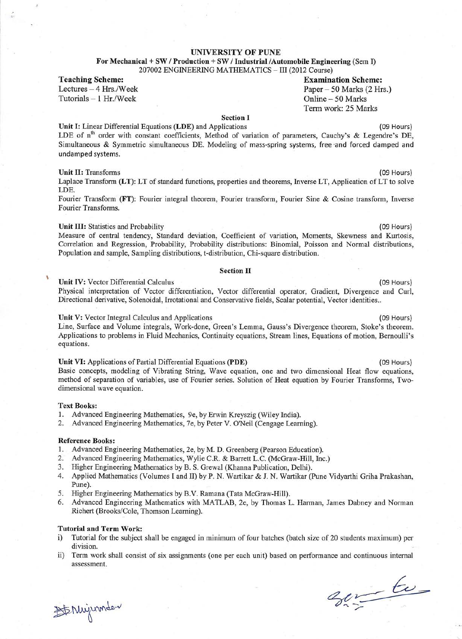#### **UNIVERSITY OF PUNE**

For Mechanical + SW / Production + SW / Industrial /Automobile Engineering (Sem I) 207002 ENGINEERING MATHEMATICS - III (2012 Course)

**Teaching Scheme:** 

 $\frac{1}{2}$ 

Lectures - 4 Hrs./Week Tutorials  $-1$  Hr./Week

**Examination Scheme:** Paper - 50 Marks (2 Hrs.) Online - 50 Marks Term work: 25 Marks

#### **Section I**

Unit I: Linear Differential Equations (LDE) and Applications

LDE of n<sup>th</sup> order with constant coefficients, Method of variation of parameters, Cauchy's & Legendre's DE, Simultaneous & Symmetric simultaneous DE. Modeling of mass-spring systems, free and forced damped and undamped systems.

#### **Unit II: Transforms**

Laplace Transform (LT): LT of standard functions, properties and theorems, Inverse LT, Application of LT to solve LDE.

Fourier Transform (FT): Fourier integral theorem, Fourier transform, Fourier Sine & Cosine transform, Inverse Fourier Transforms.

#### Unit III: Statistics and Probability

Measure of central tendency, Standard deviation, Coefficient of variation, Moments, Skewness and Kurtosis, Correlation and Regression, Probability, Probability distributions: Binomial, Poisson and Normal distributions, Population and sample, Sampling distributions, t-distribution, Chi-square distribution.

#### **Section II**

#### Unit IV: Vector Differential Calculus

Physical interpretation of Vector differentiation, Vector differential operator, Gradient, Divergence and Curl, Directional derivative, Solenoidal, Irrotational and Conservative fields, Scalar potential, Vector identities..

#### Unit V: Vector Integral Calculus and Applications

Line, Surface and Volume integrals, Work-done, Green's Lemma, Gauss's Divergence theorem, Stoke's theorem. Applications to problems in Fluid Mechanics, Continuity equations, Stream lines, Equations of motion, Bernoulli's equations.

#### Unit VI: Applications of Partial Differential Equations (PDE)

Basic concepts, modeling of Vibrating String, Wave equation, one and two dimensional Heat flow equations, method of separation of variables, use of Fourier series. Solution of Heat equation by Fourier Transforms, Twodimensional wave equation.

#### **Text Books:**

x

- 1. Advanced Engineering Mathematics, 9e, by Erwin Kreyszig (Wiley India).
- 2. Advanced Engineering Mathematics, 7e, by Peter V. O'Neil (Cengage Learning).

#### **Reference Books:**

- 1. Advanced Engineering Mathematics, 2e, by M. D. Greenberg (Pearson Education).
- 2. Advanced Engineering Mathematics, Wylie C.R. & Barrett L.C. (McGraw-Hill, Inc.)
- 3. Higher Engineering Mathematics by B. S. Grewal (Khanna Publication, Delhi).
- 4. Applied Mathematics (Volumes I and II) by P. N. Wartikar & J. N. Wartikar (Pune Vidyarthi Griha Prakashan, Pune).
- 5. Higher Engineering Mathematics by B.V. Ramana (Tata McGraw-Hill).
- Advanced Engineering Mathematics with MATLAB, 2e, by Thomas L. Harman, James Dabney and Norman 6. Richert (Brooks/Cole, Thomson Learning).

#### **Tutorial and Term Work:**

- Tutorial for the subject shall be engaged in minimum of four batches (batch size of 20 students maximum) per  $i)$ division.
- ii) Term work shall consist of six assignments (one per each unit) based on performance and continuous internal assessment.

 $\mathscr{E}_{\mathscr{E}_{\mathscr{F}}}$ 

1th Niviumder

(09 Hours)

(09 Hours)

(09 Hours)

(09 Hours)

(09 Hours)

(09 Hours)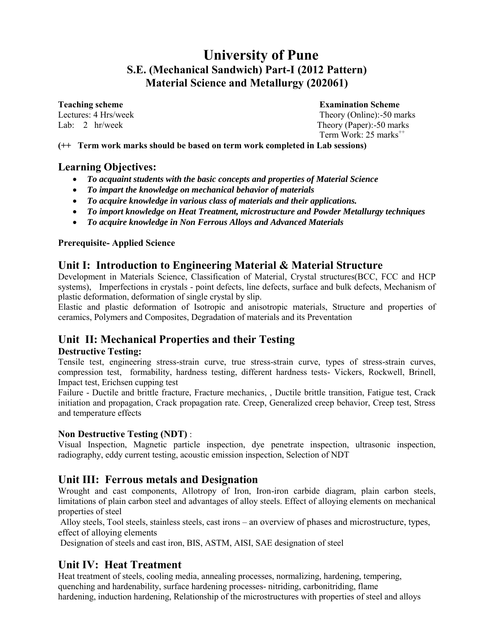# **University of Pune S.E. (Mechanical Sandwich) Part-I (2012 Pattern) Material Science and Metallurgy (202061)**

**Teaching scheme Examination Scheme**<br> **Examination Scheme**<br> **Examination Scheme Examination Scheme Examination Scheme Theory (Online):-50 ma** 

Theory (Online):-50 marks Lab: 2 hr/week Theory (Paper):-50 marks Term Work:  $25$  marks<sup> $+$ +</sup>

**(++ Term work marks should be based on term work completed in Lab sessions)** 

## **Learning Objectives:**

- *To acquaint students with the basic concepts and properties of Material Science*
- *To impart the knowledge on mechanical behavior of materials*
- *To acquire knowledge in various class of materials and their applications.*
- *To import knowledge on Heat Treatment, microstructure and Powder Metallurgy techniques*
- *To acquire knowledge in Non Ferrous Alloys and Advanced Materials*

#### **Prerequisite- Applied Science**

## **Unit I: Introduction to Engineering Material & Material Structure**

Development in Materials Science, Classification of Material, Crystal structures(BCC, FCC and HCP systems), Imperfections in crystals - point defects, line defects, surface and bulk defects, Mechanism of plastic deformation, deformation of single crystal by slip.

Elastic and plastic deformation of Isotropic and anisotropic materials, Structure and properties of ceramics, Polymers and Composites, Degradation of materials and its Preventation

## **Unit II: Mechanical Properties and their Testing**

### **Destructive Testing:**

Tensile test, engineering stress-strain curve, true stress-strain curve, types of stress-strain curves, compression test, formability, hardness testing, different hardness tests- Vickers, Rockwell, Brinell, Impact test, Erichsen cupping test

Failure - Ductile and brittle fracture, Fracture mechanics, , Ductile brittle transition, Fatigue test, Crack initiation and propagation, Crack propagation rate. Creep, Generalized creep behavior, Creep test, Stress and temperature effects

### **Non Destructive Testing (NDT)** :

Visual Inspection, Magnetic particle inspection, dye penetrate inspection, ultrasonic inspection, radiography, eddy current testing, acoustic emission inspection, Selection of NDT

## **Unit III: Ferrous metals and Designation**

Wrought and cast components, Allotropy of Iron, Iron-iron carbide diagram, plain carbon steels, limitations of plain carbon steel and advantages of alloy steels. Effect of alloying elements on mechanical properties of steel

 Alloy steels, Tool steels, stainless steels, cast irons – an overview of phases and microstructure, types, effect of alloying elements

Designation of steels and cast iron, BIS, ASTM, AISI, SAE designation of steel

## **Unit IV: Heat Treatment**

Heat treatment of steels, cooling media, annealing processes, normalizing, hardening, tempering, quenching and hardenability, surface hardening processes- nitriding, carbonitriding, flame hardening, induction hardening, Relationship of the microstructures with properties of steel and alloys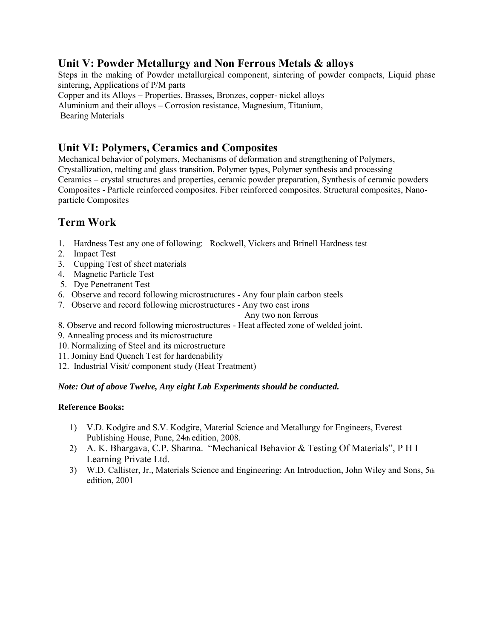## **Unit V: Powder Metallurgy and Non Ferrous Metals & alloys**

Steps in the making of Powder metallurgical component, sintering of powder compacts, Liquid phase sintering, Applications of P/M parts Copper and its Alloys – Properties, Brasses, Bronzes, copper- nickel alloys Aluminium and their alloys – Corrosion resistance, Magnesium, Titanium,

Bearing Materials

## **Unit VI: Polymers, Ceramics and Composites**

Mechanical behavior of polymers, Mechanisms of deformation and strengthening of Polymers, Crystallization, melting and glass transition, Polymer types, Polymer synthesis and processing Ceramics – crystal structures and properties, ceramic powder preparation, Synthesis of ceramic powders Composites - Particle reinforced composites. Fiber reinforced composites. Structural composites, Nanoparticle Composites

# **Term Work**

- 1. Hardness Test any one of following: Rockwell, Vickers and Brinell Hardness test
- 2. Impact Test
- 3. Cupping Test of sheet materials
- 4. Magnetic Particle Test
- 5. Dye Penetranent Test
- 6. Observe and record following microstructures Any four plain carbon steels
- 7. Observe and record following microstructures Any two cast irons
	- Any two non ferrous
- 8. Observe and record following microstructures Heat affected zone of welded joint.
- 9. Annealing process and its microstructure
- 10. Normalizing of Steel and its microstructure
- 11. Jominy End Quench Test for hardenability
- 12. Industrial Visit/ component study (Heat Treatment)

### *Note: Out of above Twelve, Any eight Lab Experiments should be conducted.*

- 1) V.D. Kodgire and S.V. Kodgire, Material Science and Metallurgy for Engineers, Everest Publishing House, Pune, 24th edition, 2008.
- 2) A. K. Bhargava, C.P. Sharma. "Mechanical Behavior & Testing Of Materials", P H I Learning Private Ltd.
- 3) W.D. Callister, Jr., Materials Science and Engineering: An Introduction, John Wiley and Sons, 5th edition, 2001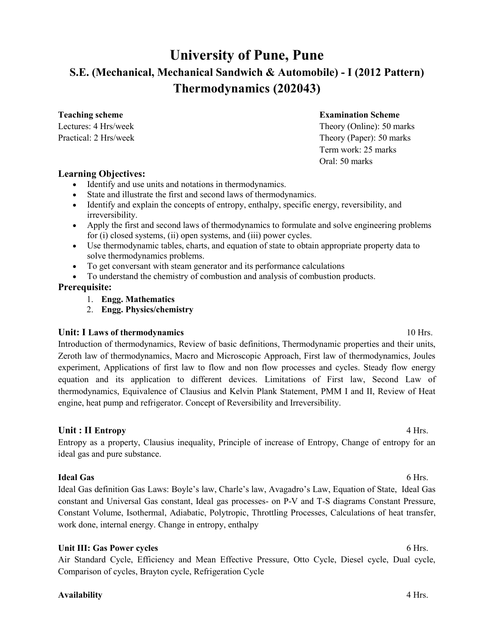# **University of Pune, Pune S.E. (Mechanical, Mechanical Sandwich & Automobile) - I (2012 Pattern) Thermodynamics (202043)**

### **Teaching scheme Examination Scheme**

Lectures: 4 Hrs/week Theory (Online): 50 marks Practical: 2 Hrs/week Theory (Paper): 50 marks Term work: 25 marks Oral: 50 marks

#### **Learning Objectives:**

- Identify and use units and notations in thermodynamics.
- State and illustrate the first and second laws of thermodynamics.
- Identify and explain the concepts of entropy, enthalpy, specific energy, reversibility, and irreversibility.
- Apply the first and second laws of thermodynamics to formulate and solve engineering problems for (i) closed systems, (ii) open systems, and (iii) power cycles.
- Use thermodynamic tables, charts, and equation of state to obtain appropriate property data to solve thermodynamics problems.
- To get conversant with steam generator and its performance calculations
- To understand the chemistry of combustion and analysis of combustion products.

#### **Prerequisite:**

- 1. **Engg. Mathematics**
- 2. **Engg. Physics/chemistry**

#### **Unit: I Laws of thermodynamics 10 Hrs. 10 Hrs. 10 Hrs.**

Introduction of thermodynamics, Review of basic definitions, Thermodynamic properties and their units, Zeroth law of thermodynamics, Macro and Microscopic Approach, First law of thermodynamics, Joules experiment, Applications of first law to flow and non flow processes and cycles. Steady flow energy equation and its application to different devices. Limitations of First law, Second Law of thermodynamics, Equivalence of Clausius and Kelvin Plank Statement, PMM I and II, Review of Heat engine, heat pump and refrigerator. Concept of Reversibility and Irreversibility.

### Unit : II Entropy **4 Hrs.**

Entropy as a property, Clausius inequality, Principle of increase of Entropy, Change of entropy for an ideal gas and pure substance.

#### **Ideal Gas** 6 Hrs.

Ideal Gas definition Gas Laws: Boyle's law, Charle's law, Avagadro's Law, Equation of State, Ideal Gas constant and Universal Gas constant, Ideal gas processes- on P-V and T-S diagrams Constant Pressure, Constant Volume, Isothermal, Adiabatic, Polytropic, Throttling Processes, Calculations of heat transfer, work done, internal energy. Change in entropy, enthalpy

#### Unit III: Gas Power cycles **6 Hrs. 6 Hrs. 6 Hrs. 6 Hrs.**

Air Standard Cycle, Efficiency and Mean Effective Pressure, Otto Cycle, Diesel cycle, Dual cycle, Comparison of cycles, Brayton cycle, Refrigeration Cycle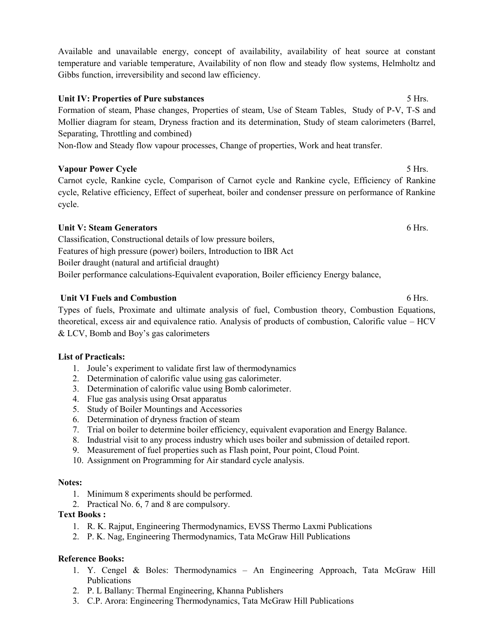Available and unavailable energy, concept of availability, availability of heat source at constant temperature and variable temperature, Availability of non flow and steady flow systems, Helmholtz and Gibbs function, irreversibility and second law efficiency.

#### Unit IV: Properties of Pure substances **5 Hrs.** 5 Hrs.

Formation of steam, Phase changes, Properties of steam, Use of Steam Tables, Study of P-V, T-S and Mollier diagram for steam, Dryness fraction and its determination, Study of steam calorimeters (Barrel, Separating, Throttling and combined)

Non-flow and Steady flow vapour processes, Change of properties, Work and heat transfer.

#### **Vapour Power Cycle** 5 Hrs.

Carnot cycle, Rankine cycle, Comparison of Carnot cycle and Rankine cycle, Efficiency of Rankine cycle, Relative efficiency, Effect of superheat, boiler and condenser pressure on performance of Rankine cycle.

#### Unit V: Steam Generators **6 Hrs. 6 Hrs. 6 Hrs. 6 Hrs. 6 Hrs. 6 Hrs. 6 Hrs.**

Classification, Constructional details of low pressure boilers, Features of high pressure (power) boilers, Introduction to IBR Act Boiler draught (natural and artificial draught) Boiler performance calculations-Equivalent evaporation, Boiler efficiency Energy balance,

#### **Unit VI Fuels and Combustion 6 Hrs. 6 Hrs. 6 Hrs. 6 Hrs.**

Types of fuels, Proximate and ultimate analysis of fuel, Combustion theory, Combustion Equations, theoretical, excess air and equivalence ratio. Analysis of products of combustion, Calorific value – HCV & LCV, Bomb and Boy's gas calorimeters

#### **List of Practicals:**

- 1. Joule's experiment to validate first law of thermodynamics
- 2. Determination of calorific value using gas calorimeter.
- 3. Determination of calorific value using Bomb calorimeter.
- 4. Flue gas analysis using Orsat apparatus
- 5. Study of Boiler Mountings and Accessories
- 6. Determination of dryness fraction of steam
- 7. Trial on boiler to determine boiler efficiency, equivalent evaporation and Energy Balance.
- 8. Industrial visit to any process industry which uses boiler and submission of detailed report.
- 9. Measurement of fuel properties such as Flash point, Pour point, Cloud Point.
- 10. Assignment on Programming for Air standard cycle analysis.

#### **Notes:**

- 1. Minimum 8 experiments should be performed.
- 2. Practical No. 6, 7 and 8 are compulsory.

#### **Text Books :**

- 1. R. K. Rajput, Engineering Thermodynamics, EVSS Thermo Laxmi Publications
- 2. P. K. Nag, Engineering Thermodynamics, Tata McGraw Hill Publications

- 1. Y. Cengel & Boles: Thermodynamics An Engineering Approach, Tata McGraw Hill Publications
- 2. P. L Ballany: Thermal Engineering, Khanna Publishers
- 3. C.P. Arora: Engineering Thermodynamics, Tata McGraw Hill Publications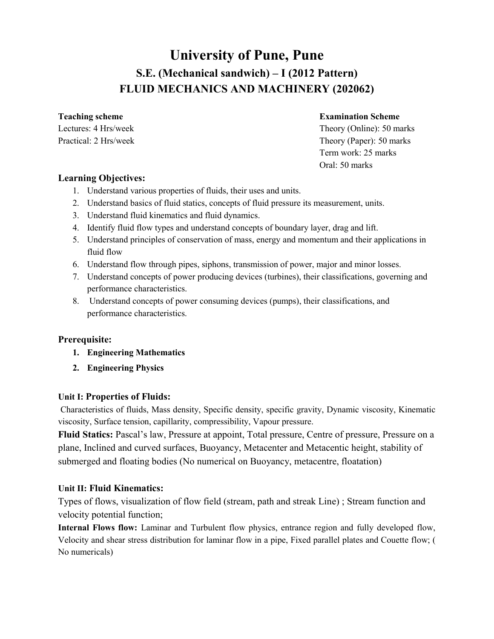# **University of Pune, Pune S.E. (Mechanical sandwich) – I (2012 Pattern) FLUID MECHANICS AND MACHINERY (202062)**

## **Teaching scheme Examination Scheme**

Lectures: 4 Hrs/week Theory (Online): 50 marks Practical: 2 Hrs/week Theory (Paper): 50 marks Term work: 25 marks Oral: 50 marks

## **Learning Objectives:**

- 1. Understand various properties of fluids, their uses and units.
- 2. Understand basics of fluid statics, concepts of fluid pressure its measurement, units.
- 3. Understand fluid kinematics and fluid dynamics.
- 4. Identify fluid flow types and understand concepts of boundary layer, drag and lift.
- 5. Understand principles of conservation of mass, energy and momentum and their applications in fluid flow
- 6. Understand flow through pipes, siphons, transmission of power, major and minor losses.
- 7. Understand concepts of power producing devices (turbines), their classifications, governing and performance characteristics.
- 8. Understand concepts of power consuming devices (pumps), their classifications, and performance characteristics.

## **Prerequisite:**

- **1. Engineering Mathematics**
- **2. Engineering Physics**

### **Unit I: Properties of Fluids:**

Characteristics of fluids, Mass density, Specific density, specific gravity, Dynamic viscosity, Kinematic viscosity, Surface tension, capillarity, compressibility, Vapour pressure.

**Fluid Statics:** Pascal's law, Pressure at appoint, Total pressure, Centre of pressure, Pressure on a plane, Inclined and curved surfaces, Buoyancy, Metacenter and Metacentic height, stability of submerged and floating bodies (No numerical on Buoyancy, metacentre, floatation)

## **Unit II: Fluid Kinematics:**

Types of flows, visualization of flow field (stream, path and streak Line) ; Stream function and velocity potential function;

**Internal Flows flow:** Laminar and Turbulent flow physics, entrance region and fully developed flow, Velocity and shear stress distribution for laminar flow in a pipe, Fixed parallel plates and Couette flow; ( No numericals)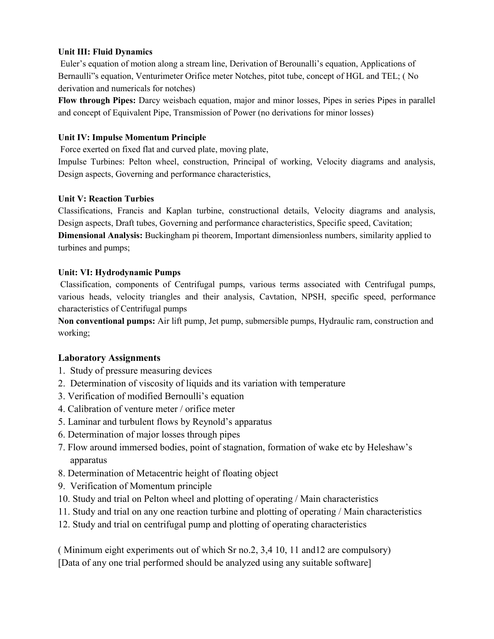### **Unit III: Fluid Dynamics**

Euler's equation of motion along a stream line, Derivation of Berounalli's equation, Applications of Bernaulli"s equation, Venturimeter Orifice meter Notches, pitot tube, concept of HGL and TEL; ( No derivation and numericals for notches)

**Flow through Pipes:** Darcy weisbach equation, major and minor losses, Pipes in series Pipes in parallel and concept of Equivalent Pipe, Transmission of Power (no derivations for minor losses)

#### **Unit IV: Impulse Momentum Principle**

Force exerted on fixed flat and curved plate, moving plate,

Impulse Turbines: Pelton wheel, construction, Principal of working, Velocity diagrams and analysis, Design aspects, Governing and performance characteristics,

#### **Unit V: Reaction Turbies**

Classifications, Francis and Kaplan turbine, constructional details, Velocity diagrams and analysis, Design aspects, Draft tubes, Governing and performance characteristics, Specific speed, Cavitation; **Dimensional Analysis:** Buckingham pi theorem, Important dimensionless numbers, similarity applied to turbines and pumps;

#### **Unit: VI: Hydrodynamic Pumps**

Classification, components of Centrifugal pumps, various terms associated with Centrifugal pumps, various heads, velocity triangles and their analysis, Cavtation, NPSH, specific speed, performance characteristics of Centrifugal pumps

**Non conventional pumps:** Air lift pump, Jet pump, submersible pumps, Hydraulic ram, construction and working;

### **Laboratory Assignments**

- 1. Study of pressure measuring devices
- 2. Determination of viscosity of liquids and its variation with temperature
- 3. Verification of modified Bernoulli's equation
- 4. Calibration of venture meter / orifice meter
- 5. Laminar and turbulent flows by Reynold's apparatus
- 6. Determination of major losses through pipes
- 7. Flow around immersed bodies, point of stagnation, formation of wake etc by Heleshaw's apparatus
- 8. Determination of Metacentric height of floating object
- 9. Verification of Momentum principle
- 10. Study and trial on Pelton wheel and plotting of operating / Main characteristics
- 11. Study and trial on any one reaction turbine and plotting of operating / Main characteristics
- 12. Study and trial on centrifugal pump and plotting of operating characteristics

( Minimum eight experiments out of which Sr no.2, 3,4 10, 11 and12 are compulsory) [Data of any one trial performed should be analyzed using any suitable software]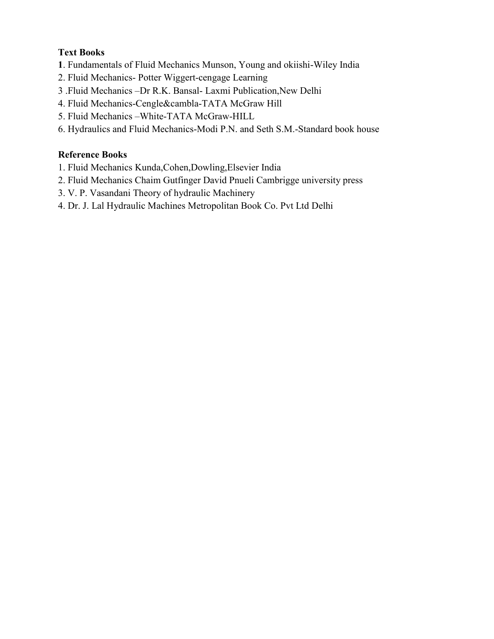## **Text Books**

- **1**. Fundamentals of Fluid Mechanics Munson, Young and okiishi-Wiley India
- 2. Fluid Mechanics- Potter Wiggert-cengage Learning
- 3 .Fluid Mechanics –Dr R.K. Bansal- Laxmi Publication,New Delhi
- 4. Fluid Mechanics-Cengle&cambla-TATA McGraw Hill
- 5. Fluid Mechanics –White-TATA McGraw-HILL
- 6. Hydraulics and Fluid Mechanics-Modi P.N. and Seth S.M.-Standard book house

- 1. Fluid Mechanics Kunda,Cohen,Dowling,Elsevier India
- 2. Fluid Mechanics Chaim Gutfinger David Pnueli Cambrigge university press
- 3. V. P. Vasandani Theory of hydraulic Machinery
- 4. Dr. J. Lal Hydraulic Machines Metropolitan Book Co. Pvt Ltd Delhi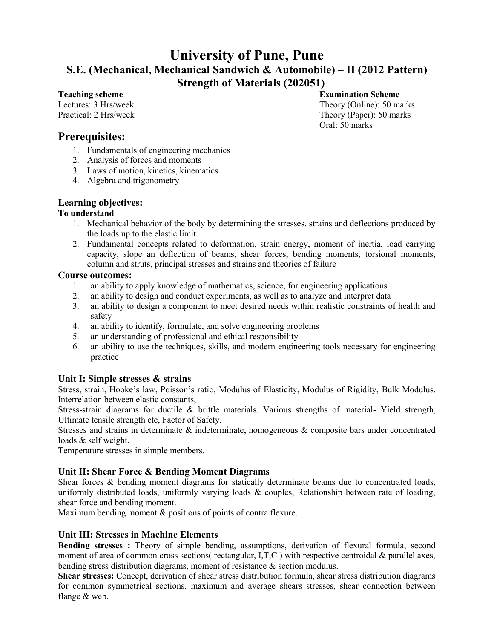# **University of Pune, Pune S.E. (Mechanical, Mechanical Sandwich & Automobile) – II (2012 Pattern) Strength of Materials (202051)**

**Teaching scheme Examination Scheme**  Lectures: 3 Hrs/week Theory (Online): 50 marks Practical: 2 Hrs/week Theory (Paper): 50 marks Oral: 50 marks

## **Prerequisites:**

- 1. Fundamentals of engineering mechanics
- 2. Analysis of forces and moments
- 3. Laws of motion, kinetics, kinematics
- 4. Algebra and trigonometry

### **Learning objectives:**

### **To understand**

- 1. Mechanical behavior of the body by determining the stresses, strains and deflections produced by the loads up to the elastic limit.
- 2. Fundamental concepts related to deformation, strain energy, moment of inertia, load carrying capacity, slope an deflection of beams, shear forces, bending moments, torsional moments, column and struts, principal stresses and strains and theories of failure

### **Course outcomes:**

- 1. an ability to apply knowledge of mathematics, science, for engineering applications
- 2. an ability to design and conduct experiments, as well as to analyze and interpret data
- 3. an ability to design a component to meet desired needs within realistic constraints of health and safety
- 4. an ability to identify, formulate, and solve engineering problems
- 5. an understanding of professional and ethical responsibility
- 6. an ability to use the techniques, skills, and modern engineering tools necessary for engineering practice

### **Unit I: Simple stresses & strains**

Stress, strain, Hooke's law, Poisson's ratio, Modulus of Elasticity, Modulus of Rigidity, Bulk Modulus. Interrelation between elastic constants,

Stress-strain diagrams for ductile & brittle materials. Various strengths of material- Yield strength, Ultimate tensile strength etc, Factor of Safety.

Stresses and strains in determinate & indeterminate, homogeneous & composite bars under concentrated loads & self weight.

Temperature stresses in simple members.

### **Unit II: Shear Force & Bending Moment Diagrams**

Shear forces & bending moment diagrams for statically determinate beams due to concentrated loads, uniformly distributed loads, uniformly varying loads & couples, Relationship between rate of loading, shear force and bending moment.

Maximum bending moment & positions of points of contra flexure.

### **Unit III: Stresses in Machine Elements**

Bending stresses : Theory of simple bending, assumptions, derivation of flexural formula, second moment of area of common cross sections( rectangular, I,T,C) with respective centroidal  $\&$  parallel axes, bending stress distribution diagrams, moment of resistance & section modulus.

**Shear stresses:** Concept, derivation of shear stress distribution formula, shear stress distribution diagrams for common symmetrical sections, maximum and average shears stresses, shear connection between flange & web.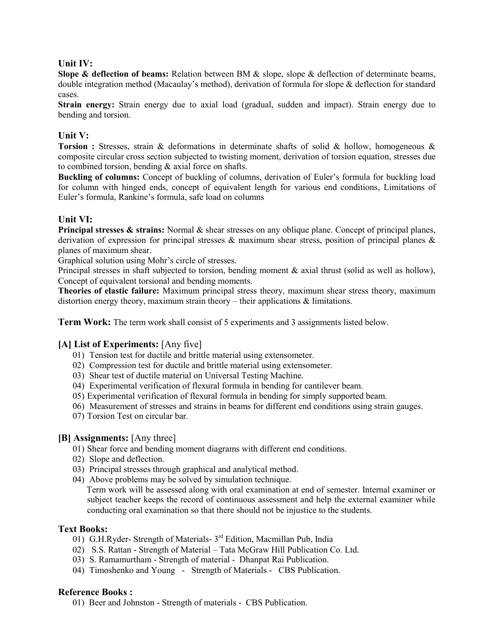#### **Unit IV:**

**Slope & deflection of beams:** Relation between BM & slope, slope & deflection of determinate beams, double integration method (Macaulay's method), derivation of formula for slope & deflection for standard cases.

**Strain energy:** Strain energy due to axial load (gradual, sudden and impact). Strain energy due to bending and torsion.

#### **Unit V:**

**Torsion :** Stresses, strain & deformations in determinate shafts of solid & hollow, homogeneous & composite circular cross section subjected to twisting moment, derivation of torsion equation, stresses due to combined torsion, bending & axial force on shafts.

**Buckling of columns:** Concept of buckling of columns, derivation of Euler's formula for buckling load for column with hinged ends, concept of equivalent length for various end conditions, Limitations of Euler's formula, Rankine's formula, safe load on columns

#### **Unit VI:**

**Principal stresses & strains:** Normal & shear stresses on any oblique plane. Concept of principal planes, derivation of expression for principal stresses & maximum shear stress, position of principal planes & planes of maximum shear.

Graphical solution using Mohr's circle of stresses.

Principal stresses in shaft subjected to torsion, bending moment  $\&$  axial thrust (solid as well as hollow), Concept of equivalent torsional and bending moments.

**Theories of elastic failure:** Maximum principal stress theory, maximum shear stress theory, maximum distortion energy theory, maximum strain theory – their applications & limitations.

**Term Work:** The term work shall consist of 5 experiments and 3 assignments listed below.

#### **[A] List of Experiments:** [Any five]

- 01) Tension test for ductile and brittle material using extensometer.
- 02) Compression test for ductile and brittle material using extensometer.
- 03) Shear test of ductile material on Universal Testing Machine.
- 04) Experimental verification of flexural formula in bending for cantilever beam.
- 05) Experimental verification of flexural formula in bending for simply supported beam.
- 06) Measurement of stresses and strains in beams for different end conditions using strain gauges.
- 07) Torsion Test on circular bar.

#### **[B] Assignments:** [Any three]

- 01) Shear force and bending moment diagrams with different end conditions.
- 02) Slope and deflection.
- 03) Principal stresses through graphical and analytical method.
- 04) Above problems may be solved by simulation technique.

Term work will be assessed along with oral examination at end of semester. Internal examiner or subject teacher keeps the record of continuous assessment and help the external examiner while conducting oral examination so that there should not be injustice to the students.

#### **Text Books:**

- 01) G.H.Ryder- Strength of Materials- 3<sup>rd</sup> Edition, Macmillan Pub, India
- 02) S.S. Rattan Strength of Material Tata McGraw Hill Publication Co. Ltd.
- 03) S. Ramamurtham Strength of material Dhanpat Rai Publication.
- 04) Timoshenko and Young Strength of Materials CBS Publication.

#### **Reference Books :**

01) Beer and Johnston - Strength of materials - CBS Publication.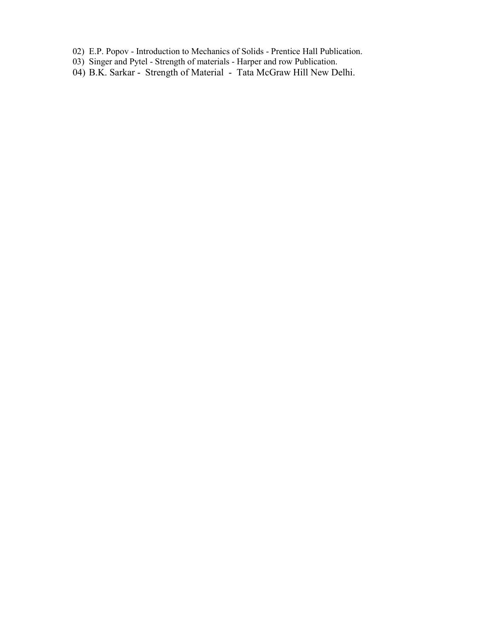- 02) E.P. Popov Introduction to Mechanics of Solids Prentice Hall Publication.
- 03) Singer and Pytel Strength of materials Harper and row Publication.
- 04) B.K. Sarkar Strength of Material Tata McGraw Hill New Delhi.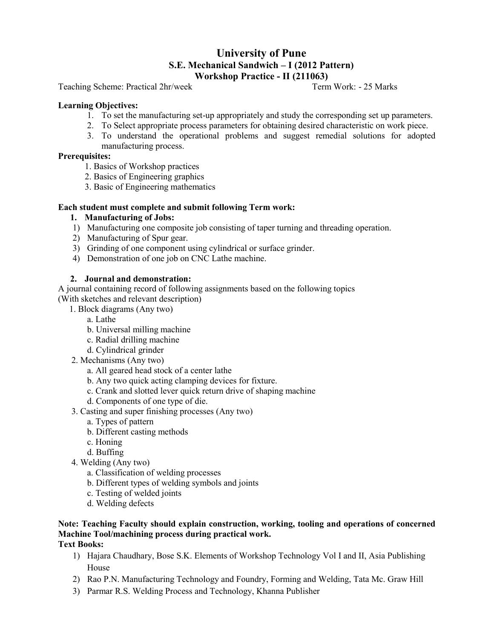# **University of Pune S.E. Mechanical Sandwich – I (2012 Pattern) Workshop Practice - II (211063)**<br>Term Work: - 25 Marks

Teaching Scheme: Practical 2hr/week

#### **Learning Objectives:**

- 1. To set the manufacturing set-up appropriately and study the corresponding set up parameters.
- 2. To Select appropriate process parameters for obtaining desired characteristic on work piece.
- 3. To understand the operational problems and suggest remedial solutions for adopted manufacturing process.

#### **Prerequisites:**

- 1. Basics of Workshop practices
- 2. Basics of Engineering graphics
- 3. Basic of Engineering mathematics

#### **Each student must complete and submit following Term work:**

#### **1. Manufacturing of Jobs:**

- 1) Manufacturing one composite job consisting of taper turning and threading operation.
- 2) Manufacturing of Spur gear.
- 3) Grinding of one component using cylindrical or surface grinder.
- 4) Demonstration of one job on CNC Lathe machine.

#### **2. Journal and demonstration:**

A journal containing record of following assignments based on the following topics (With sketches and relevant description)

- 1. Block diagrams (Any two)
	- a. Lathe
	- b. Universal milling machine
	- c. Radial drilling machine
	- d. Cylindrical grinder
- 2. Mechanisms (Any two)
	- a. All geared head stock of a center lathe
	- b. Any two quick acting clamping devices for fixture.
	- c. Crank and slotted lever quick return drive of shaping machine
	- d. Components of one type of die.
- 3. Casting and super finishing processes (Any two)
	- a. Types of pattern
	- b. Different casting methods
	- c. Honing
	- d. Buffing
- 4. Welding (Any two)
	- a. Classification of welding processes
	- b. Different types of welding symbols and joints
	- c. Testing of welded joints
	- d. Welding defects

## **Note: Teaching Faculty should explain construction, working, tooling and operations of concerned Machine Tool/machining process during practical work.**

#### **Text Books:**

- 1) Hajara Chaudhary, Bose S.K. Elements of Workshop Technology Vol I and II, Asia Publishing House
- 2) Rao P.N. Manufacturing Technology and Foundry, Forming and Welding, Tata Mc. Graw Hill
- 3) Parmar R.S. Welding Process and Technology, Khanna Publisher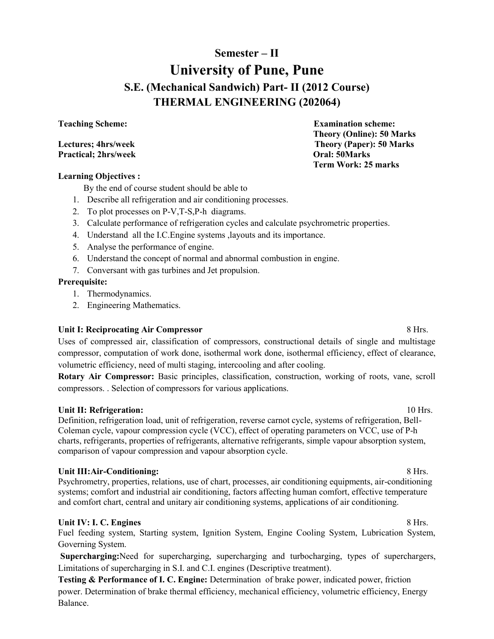# **Semester – II University of Pune, Pune S.E. (Mechanical Sandwich) Part- II (2012 Course) THERMAL ENGINEERING (202064)**

#### **Teaching Scheme: Examination scheme:**

#### **Lectures; 4hrs/week Theory (Paper): 50 Marks**<br> **Practical; 2hrs/week Chapter Constant Constant Constant Constant Constant Constant Constant Constant Constant Constant Constant Constant Constant Constant Constant Constant Practical; 2hrs/week**

#### **Learning Objectives :**

By the end of course student should be able to

- 1. Describe all refrigeration and air conditioning processes.
- 2. To plot processes on P-V,T-S,P-h diagrams.
- 3. Calculate performance of refrigeration cycles and calculate psychrometric properties.
- 4. Understand all the I.C.Engine systems ,layouts and its importance.
- 5. Analyse the performance of engine.
- 6. Understand the concept of normal and abnormal combustion in engine.
- 7. Conversant with gas turbines and Jet propulsion.

#### **Prerequisite:**

- 1. Thermodynamics.
- 2. Engineering Mathematics.

#### **Unit I: Reciprocating Air Compressor** 8 Hrs.

Uses of compressed air, classification of compressors, constructional details of single and multistage compressor, computation of work done, isothermal work done, isothermal efficiency, effect of clearance, volumetric efficiency, need of multi staging, intercooling and after cooling.

**Rotary Air Compressor:** Basic principles, classification, construction, working of roots, vane, scroll compressors. . Selection of compressors for various applications.

#### **Unit II: Refrigeration:**  $10 \text{ Hrs.}$

Definition, refrigeration load, unit of refrigeration, reverse carnot cycle, systems of refrigeration, Bell-Coleman cycle, vapour compression cycle (VCC), effect of operating parameters on VCC, use of P-h charts, refrigerants, properties of refrigerants, alternative refrigerants, simple vapour absorption system, comparison of vapour compression and vapour absorption cycle.

#### Unit III:Air-Conditioning: **8 Hrs.** 8 Hrs.

Psychrometry, properties, relations, use of chart, processes, air conditioning equipments, air-conditioning systems; comfort and industrial air conditioning, factors affecting human comfort, effective temperature and comfort chart, central and unitary air conditioning systems, applications of air conditioning.

#### **Unit IV: I. C. Engines** 8 Hrs.

Fuel feeding system, Starting system, Ignition System, Engine Cooling System, Lubrication System, Governing System.

**Supercharging:**Need for supercharging, supercharging and turbocharging, types of superchargers, Limitations of supercharging in S.I. and C.I. engines (Descriptive treatment).

**Testing & Performance of I. C. Engine:** Determination of brake power, indicated power, friction power. Determination of brake thermal efficiency, mechanical efficiency, volumetric efficiency, Energy Balance.

 **Theory (Online): 50 Marks** 

 **Term Work: 25 marks**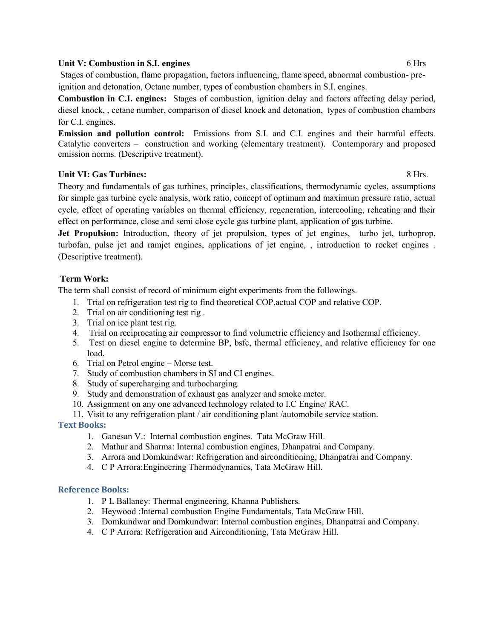#### **Unit V: Combustion in S.I. engines** 6 Hrs

Stages of combustion, flame propagation, factors influencing, flame speed, abnormal combustion- preignition and detonation, Octane number, types of combustion chambers in S.I. engines.

**Combustion in C.I. engines:** Stages of combustion, ignition delay and factors affecting delay period, diesel knock, , cetane number, comparison of diesel knock and detonation, types of combustion chambers for C.I. engines.

**Emission and pollution control:** Emissions from S.I. and C.I. engines and their harmful effects. Catalytic converters – construction and working (elementary treatment). Contemporary and proposed emission norms. (Descriptive treatment).

#### Unit VI: Gas Turbines: 8 Hrs.

Theory and fundamentals of gas turbines, principles, classifications, thermodynamic cycles, assumptions for simple gas turbine cycle analysis, work ratio, concept of optimum and maximum pressure ratio, actual cycle, effect of operating variables on thermal efficiency, regeneration, intercooling, reheating and their effect on performance, close and semi close cycle gas turbine plant, application of gas turbine.

Jet Propulsion: Introduction, theory of jet propulsion, types of jet engines, turbo jet, turboprop, turbofan, pulse jet and ramjet engines, applications of jet engine, , introduction to rocket engines . (Descriptive treatment).

#### **Term Work:**

The term shall consist of record of minimum eight experiments from the followings.

- 1. Trial on refrigeration test rig to find theoretical COP,actual COP and relative COP.
- 2. Trial on air conditioning test rig .
- 3. Trial on ice plant test rig.
- 4. Trial on reciprocating air compressor to find volumetric efficiency and Isothermal efficiency.
- 5. Test on diesel engine to determine BP, bsfc, thermal efficiency, and relative efficiency for one load.
- 6. Trial on Petrol engine Morse test.
- 7. Study of combustion chambers in SI and CI engines.
- 8. Study of supercharging and turbocharging.
- 9. Study and demonstration of exhaust gas analyzer and smoke meter.
- 10. Assignment on any one advanced technology related to I.C Engine/ RAC.
- 11. Visit to any refrigeration plant / air conditioning plant /automobile service station.

#### **Text Books:**

- 1. Ganesan V.: Internal combustion engines. Tata McGraw Hill.
- 2. Mathur and Sharma: Internal combustion engines, Dhanpatrai and Company.
- 3. Arrora and Domkundwar: Refrigeration and airconditioning, Dhanpatrai and Company.
- 4. C P Arrora:Engineering Thermodynamics, Tata McGraw Hill.

- 1. P L Ballaney: Thermal engineering, Khanna Publishers.
- 2. Heywood :Internal combustion Engine Fundamentals, Tata McGraw Hill.
- 3. Domkundwar and Domkundwar: Internal combustion engines, Dhanpatrai and Company.
- 4. C P Arrora: Refrigeration and Airconditioning, Tata McGraw Hill.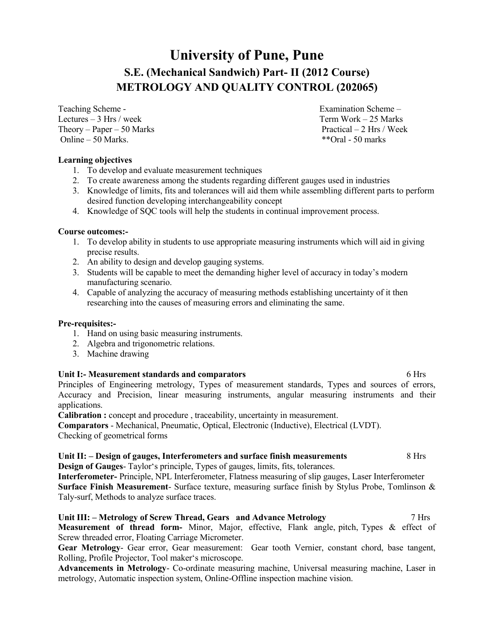# **University of Pune, Pune S.E. (Mechanical Sandwich) Part- II (2012 Course) METROLOGY AND QUALITY CONTROL (202065)**

Teaching Scheme - Teaching Scheme – Examination Scheme – Lectures – 3 Hrs / week Term Work – 25 Marks Theory – Paper – 50 Marks Practical – 2 Hrs / Week<br>
Online – 50 Marks \*\* Oral - 50 marks Online  $-50$  Marks.

#### **Learning objectives**

- 1. To develop and evaluate measurement techniques
- 2. To create awareness among the students regarding different gauges used in industries
- 3. Knowledge of limits, fits and tolerances will aid them while assembling different parts to perform desired function developing interchangeability concept
- 4. Knowledge of SQC tools will help the students in continual improvement process.

#### **Course outcomes:-**

- 1. To develop ability in students to use appropriate measuring instruments which will aid in giving precise results.
- 2. An ability to design and develop gauging systems.
- 3. Students will be capable to meet the demanding higher level of accuracy in today's modern manufacturing scenario.
- 4. Capable of analyzing the accuracy of measuring methods establishing uncertainty of it then researching into the causes of measuring errors and eliminating the same.

#### **Pre-requisites:-**

- 1. Hand on using basic measuring instruments.
- 2. Algebra and trigonometric relations.
- 3. Machine drawing

#### **Unit I:- Measurement standards and comparators** 6 Hrs

Principles of Engineering metrology, Types of measurement standards, Types and sources of errors, Accuracy and Precision, linear measuring instruments, angular measuring instruments and their applications.

**Calibration :** concept and procedure , traceability, uncertainty in measurement.

**Comparators** - Mechanical, Pneumatic, Optical, Electronic (Inductive), Electrical (LVDT). Checking of geometrical forms

#### **Unit II: – Design of gauges, Interferometers and surface finish measurements** 8 Hrs **Design of Gauges**- Taylor's principle, Types of gauges, limits, fits, tolerances.

**Interferometer-** Principle, NPL Interferometer, Flatness measuring of slip gauges, Laser Interferometer **Surface Finish Measurement**- Surface texture, measuring surface finish by Stylus Probe, Tomlinson & Taly-surf, Methods to analyze surface traces.

### **Unit III: – Metrology of Screw Thread, Gears and Advance Metrology** 7 Hrs

**Measurement of thread form-** Minor, Major, effective, Flank angle, pitch, Types & effect of Screw threaded error, Floating Carriage Micrometer.

**Gear Metrology**- Gear error, Gear measurement: Gear tooth Vernier, constant chord, base tangent, Rolling, Profile Projector, Tool maker's microscope.

**Advancements in Metrology**- Co-ordinate measuring machine, Universal measuring machine, Laser in metrology, Automatic inspection system, Online-Offline inspection machine vision.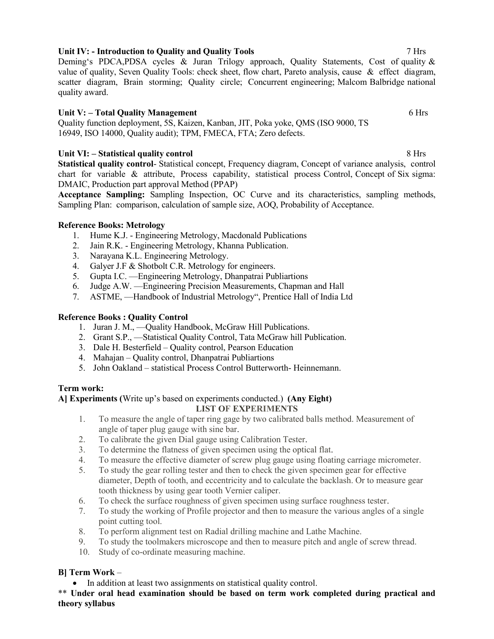## **Unit IV: - Introduction to Quality and Quality Tools** 7 Hrs

Deming's PDCA,PDSA cycles & Juran Trilogy approach, Quality Statements, Cost of quality & value of quality, Seven Quality Tools: check sheet, flow chart, Pareto analysis, cause & effect diagram, scatter diagram, Brain storming; Quality circle; Concurrent engineering; Malcom Balbridge national quality award.

### **Unit V: – Total Quality Management** 6 Hrs

Quality function deployment, 5S, Kaizen, Kanban, JIT, Poka yoke, QMS (ISO 9000, TS 16949, ISO 14000, Quality audit); TPM, FMECA, FTA; Zero defects.

### **Unit VI: – Statistical quality control** 8 Hrs

**Statistical quality control**- Statistical concept, Frequency diagram, Concept of variance analysis, control chart for variable & attribute, Process capability, statistical process Control, Concept of Six sigma: DMAIC, Production part approval Method (PPAP)

**Acceptance Sampling:** Sampling Inspection, OC Curve and its characteristics, sampling methods, Sampling Plan: comparison, calculation of sample size, AOQ, Probability of Acceptance.

### **Reference Books: Metrology**

- 1. Hume K.J. Engineering Metrology, Macdonald Publications
- 2. Jain R.K. Engineering Metrology, Khanna Publication.
- 3. Narayana K.L. Engineering Metrology.
- 4. Galyer J.F & Shotbolt C.R. Metrology for engineers.
- 5. Gupta I.C. —Engineering Metrology, Dhanpatrai Publiartions
- 6. Judge A.W. —Engineering Precision Measurements, Chapman and Hall
- 7. ASTME, —Handbook of Industrial Metrology", Prentice Hall of India Ltd

#### **Reference Books : Quality Control**

- 1. Juran J. M., —Quality Handbook, McGraw Hill Publications.
- 2. Grant S.P., —Statistical Quality Control, Tata McGraw hill Publication.
- 3. Dale H. Besterfield Quality control, Pearson Education
- 4. Mahajan Quality control, Dhanpatrai Publiartions
- 5. John Oakland statistical Process Control Butterworth- Heinnemann.

#### **Term work:**

#### **A] Experiments (**Write up's based on experiments conducted.) **(Any Eight) LIST OF EXPERIMENTS**

- 1. To measure the angle of taper ring gage by two calibrated balls method. Measurement of angle of taper plug gauge with sine bar.
- 2. To calibrate the given Dial gauge using Calibration Tester.
- 3. To determine the flatness of given specimen using the optical flat.
- 4. To measure the effective diameter of screw plug gauge using floating carriage micrometer.
- 5. To study the gear rolling tester and then to check the given specimen gear for effective diameter, Depth of tooth, and eccentricity and to calculate the backlash. Or to measure gear tooth thickness by using gear tooth Vernier caliper.
- 6. To check the surface roughness of given specimen using surface roughness tester.
- 7. To study the working of Profile projector and then to measure the various angles of a single point cutting tool.
- 8. To perform alignment test on Radial drilling machine and Lathe Machine.
- 9. To study the toolmakers microscope and then to measure pitch and angle of screw thread.
- 10. Study of co-ordinate measuring machine.

#### **B] Term Work** –

• In addition at least two assignments on statistical quality control.

\*\* **Under oral head examination should be based on term work completed during practical and theory syllabus**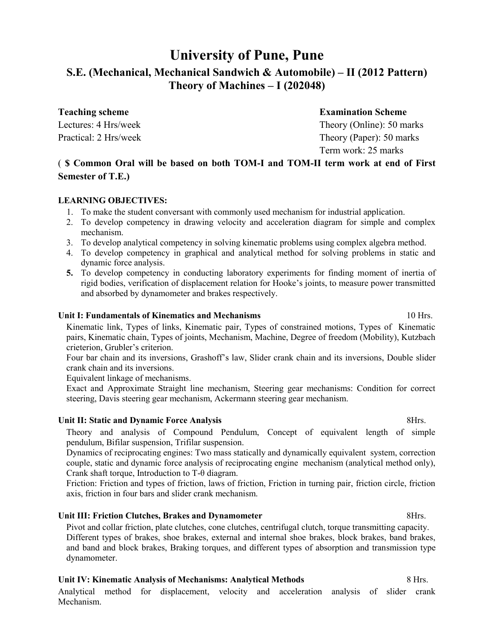# **University of Pune, Pune**

## **S.E. (Mechanical, Mechanical Sandwich & Automobile) – II (2012 Pattern) Theory of Machines – I (202048)**

**Teaching scheme Examination Scheme** 

Lectures: 4 Hrs/week Theory (Online): 50 marks Practical: 2 Hrs/week Theory (Paper): 50 marks Term work: 25 marks

## ( **\$ Common Oral will be based on both TOM-I and TOM-II term work at end of First Semester of T.E.)**

#### **LEARNING OBJECTIVES:**

- 1. To make the student conversant with commonly used mechanism for industrial application.
- 2. To develop competency in drawing velocity and acceleration diagram for simple and complex mechanism.
- 3. To develop analytical competency in solving kinematic problems using complex algebra method.
- 4. To develop competency in graphical and analytical method for solving problems in static and dynamic force analysis.
- **5.** To develop competency in conducting laboratory experiments for finding moment of inertia of rigid bodies, verification of displacement relation for Hooke's joints, to measure power transmitted and absorbed by dynamometer and brakes respectively.

#### **Unit I: Fundamentals of Kinematics and Mechanisms** 10 Hrs.

Kinematic link, Types of links, Kinematic pair, Types of constrained motions, Types of Kinematic pairs, Kinematic chain, Types of joints, Mechanism, Machine, Degree of freedom (Mobility), Kutzbach crieterion, Grubler's criterion.

Four bar chain and its inversions, Grashoff's law, Slider crank chain and its inversions, Double slider crank chain and its inversions.

Equivalent linkage of mechanisms.

Exact and Approximate Straight line mechanism, Steering gear mechanisms: Condition for correct steering, Davis steering gear mechanism, Ackermann steering gear mechanism.

#### Unit II: Static and Dynamic Force Analysis **8Hrs.** 8Hrs.

Theory and analysis of Compound Pendulum, Concept of equivalent length of simple pendulum, Bifilar suspension, Trifilar suspension.

Dynamics of reciprocating engines: Two mass statically and dynamically equivalent system, correction couple, static and dynamic force analysis of reciprocating engine mechanism (analytical method only), Crank shaft torque, Introduction to T-θ diagram.

Friction: Friction and types of friction, laws of friction, Friction in turning pair, friction circle, friction axis, friction in four bars and slider crank mechanism.

#### Unit III: Friction Clutches, Brakes and Dynamometer **8Hrs.** 8Hrs.

Pivot and collar friction, plate clutches, cone clutches, centrifugal clutch, torque transmitting capacity. Different types of brakes, shoe brakes, external and internal shoe brakes, block brakes, band brakes, and band and block brakes, Braking torques, and different types of absorption and transmission type dynamometer.

#### **Unit IV: Kinematic Analysis of Mechanisms: Analytical Methods 8 Ris.** 8 Hrs.

Analytical method for displacement, velocity and acceleration analysis of slider crank Mechanism.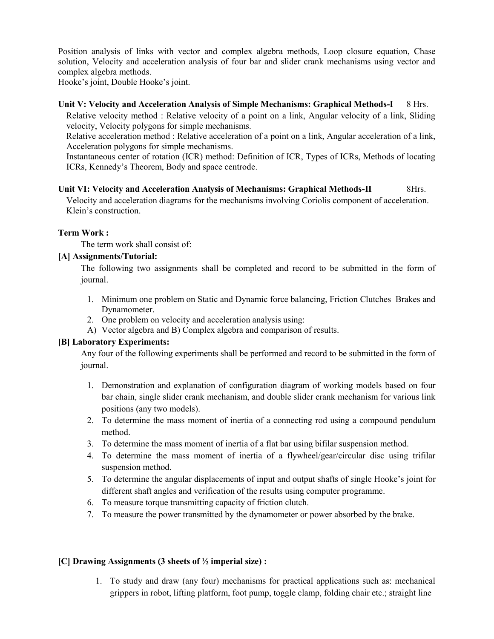Position analysis of links with vector and complex algebra methods, Loop closure equation, Chase solution, Velocity and acceleration analysis of four bar and slider crank mechanisms using vector and complex algebra methods.

Hooke's joint, Double Hooke's joint.

#### **Unit V: Velocity and Acceleration Analysis of Simple Mechanisms: Graphical Methods-I** 8 Hrs.

Relative velocity method : Relative velocity of a point on a link, Angular velocity of a link, Sliding velocity, Velocity polygons for simple mechanisms.

Relative acceleration method : Relative acceleration of a point on a link, Angular acceleration of a link, Acceleration polygons for simple mechanisms.

Instantaneous center of rotation (ICR) method: Definition of ICR, Types of ICRs, Methods of locating ICRs, Kennedy's Theorem, Body and space centrode.

#### **Unit VI: Velocity and Acceleration Analysis of Mechanisms: Graphical Methods-II** 8Hrs.

Velocity and acceleration diagrams for the mechanisms involving Coriolis component of acceleration. Klein's construction.

#### **Term Work :**

The term work shall consist of:

#### **[A] Assignments/Tutorial:**

The following two assignments shall be completed and record to be submitted in the form of journal.

- 1. Minimum one problem on Static and Dynamic force balancing, Friction Clutches Brakes and Dynamometer.
- 2. One problem on velocity and acceleration analysis using:
- A) Vector algebra and B) Complex algebra and comparison of results.

#### **[B] Laboratory Experiments:**

Any four of the following experiments shall be performed and record to be submitted in the form of journal.

- 1. Demonstration and explanation of configuration diagram of working models based on four bar chain, single slider crank mechanism, and double slider crank mechanism for various link positions (any two models).
- 2. To determine the mass moment of inertia of a connecting rod using a compound pendulum method.
- 3. To determine the mass moment of inertia of a flat bar using bifilar suspension method.
- 4. To determine the mass moment of inertia of a flywheel/gear/circular disc using trifilar suspension method.
- 5. To determine the angular displacements of input and output shafts of single Hooke's joint for different shaft angles and verification of the results using computer programme.
- 6. To measure torque transmitting capacity of friction clutch.
- 7. To measure the power transmitted by the dynamometer or power absorbed by the brake.

#### **[C] Drawing Assignments (3 sheets of ½ imperial size) :**

1. To study and draw (any four) mechanisms for practical applications such as: mechanical grippers in robot, lifting platform, foot pump, toggle clamp, folding chair etc.; straight line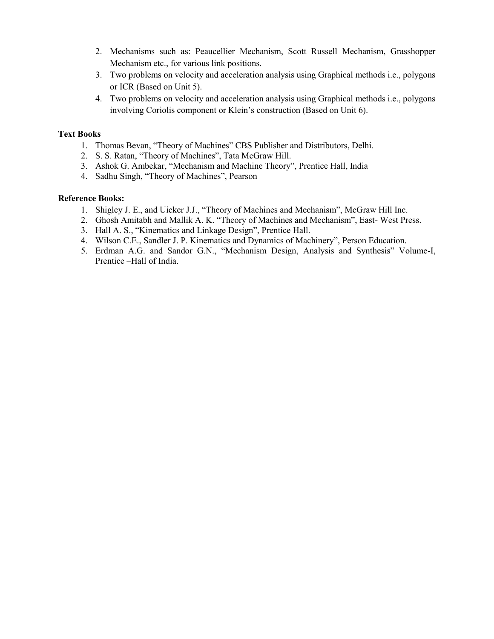- 2. Mechanisms such as: Peaucellier Mechanism, Scott Russell Mechanism, Grasshopper Mechanism etc., for various link positions.
- 3. Two problems on velocity and acceleration analysis using Graphical methods i.e., polygons or ICR (Based on Unit 5).
- 4. Two problems on velocity and acceleration analysis using Graphical methods i.e., polygons involving Coriolis component or Klein's construction (Based on Unit 6).

#### **Text Books**

- 1. Thomas Bevan, "Theory of Machines" CBS Publisher and Distributors, Delhi.
- 2. S. S. Ratan, "Theory of Machines", Tata McGraw Hill.
- 3. Ashok G. Ambekar, "Mechanism and Machine Theory", Prentice Hall, India
- 4. Sadhu Singh, "Theory of Machines", Pearson

- 1. Shigley J. E., and Uicker J.J., "Theory of Machines and Mechanism", McGraw Hill Inc.
- 2. Ghosh Amitabh and Mallik A. K. "Theory of Machines and Mechanism", East- West Press.
- 3. Hall A. S., "Kinematics and Linkage Design", Prentice Hall.
- 4. Wilson C.E., Sandler J. P. Kinematics and Dynamics of Machinery", Person Education.
- 5. Erdman A.G. and Sandor G.N., "Mechanism Design, Analysis and Synthesis" Volume-I, Prentice –Hall of India.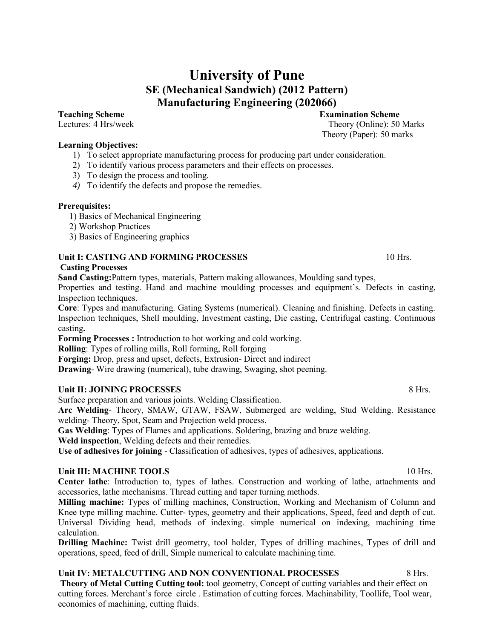# **University of Pune SE (Mechanical Sandwich) (2012 Pattern) Manufacturing Engineering (202066)**

#### **Learning Objectives:**

- 1) To select appropriate manufacturing process for producing part under consideration.
- 2) To identify various process parameters and their effects on processes.
- 3) To design the process and tooling.
- *4)* To identify the defects and propose the remedies*.*

#### **Prerequisites:**

- 1) Basics of Mechanical Engineering
- 2) Workshop Practices
- 3) Basics of Engineering graphics

#### **Unit I: CASTING AND FORMING PROCESSES** 10 Hrs.

#### **Casting Processes**

**Sand Casting:**Pattern types, materials, Pattern making allowances, Moulding sand types,

Properties and testing. Hand and machine moulding processes and equipment's. Defects in casting, Inspection techniques.

**Core**: Types and manufacturing. Gating Systems (numerical). Cleaning and finishing. Defects in casting. Inspection techniques, Shell moulding, Investment casting, Die casting, Centrifugal casting. Continuous casting**.**

**Forming Processes :** Introduction to hot working and cold working.

**Rolling**: Types of rolling mills, Roll forming, Roll forging

**Forging:** Drop, press and upset, defects, Extrusion- Direct and indirect

**Drawing**- Wire drawing (numerical), tube drawing, Swaging, shot peening.

#### **Unit II: JOINING PROCESSES** 8 Hrs.

Surface preparation and various joints. Welding Classification.

**Arc Welding**- Theory, SMAW, GTAW, FSAW, Submerged arc welding, Stud Welding. Resistance welding- Theory, Spot, Seam and Projection weld process.

**Gas Welding**: Types of Flames and applications. Soldering, brazing and braze welding.

**Weld inspection**, Welding defects and their remedies.

**Use of adhesives for joining** - Classification of adhesives, types of adhesives, applications.

#### Unit III: MACHINE TOOLS **10** Hrs.

**Center lathe**: Introduction to, types of lathes. Construction and working of lathe, attachments and accessories, lathe mechanisms. Thread cutting and taper turning methods.

**Milling machine:** Types of milling machines, Construction, Working and Mechanism of Column and Knee type milling machine. Cutter- types, geometry and their applications, Speed, feed and depth of cut. Universal Dividing head, methods of indexing. simple numerical on indexing, machining time calculation.

**Drilling Machine:** Twist drill geometry, tool holder, Types of drilling machines, Types of drill and operations, speed, feed of drill, Simple numerical to calculate machining time.

**Unit IV: METALCUTTING AND NON CONVENTIONAL PROCESSES** 8 Hrs. **Theory of Metal Cutting Cutting tool:** tool geometry, Concept of cutting variables and their effect on cutting forces. Merchant's force circle . Estimation of cutting forces. Machinability, Toollife, Tool wear, economics of machining, cutting fluids.

**Teaching Scheme Examination Scheme Examination Scheme Examination Scheme Examination Scheme Examination Scheme Examination Scheme Examination Scheme Examination Scheme Examination Scheme Examination Sc** Theory (Online): 50 Marks Theory (Paper): 50 marks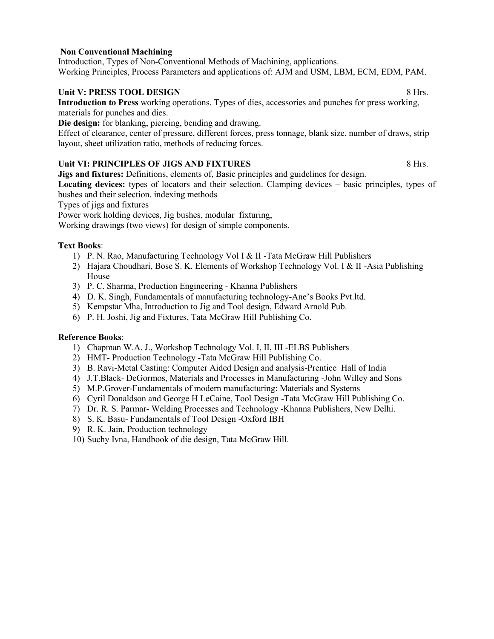#### **Non Conventional Machining**

Introduction, Types of Non-Conventional Methods of Machining, applications. Working Principles, Process Parameters and applications of: AJM and USM, LBM, ECM, EDM, PAM.

#### **Unit V: PRESS TOOL DESIGN** 8 Hrs.

**Introduction to Press** working operations. Types of dies, accessories and punches for press working, materials for punches and dies.

**Die design:** for blanking, piercing, bending and drawing.

Effect of clearance, center of pressure, different forces, press tonnage, blank size, number of draws, strip layout, sheet utilization ratio, methods of reducing forces.

#### Unit VI: PRINCIPLES OF JIGS AND FIXTURES **8 Hrs.** 8 Hrs.

**Jigs and fixtures:** Definitions, elements of, Basic principles and guidelines for design.

**Locating devices:** types of locators and their selection. Clamping devices – basic principles, types of bushes and their selection. indexing methods

Types of jigs and fixtures

Power work holding devices, Jig bushes, modular fixturing,

Working drawings (two views) for design of simple components.

#### **Text Books**:

- 1) P. N. Rao, Manufacturing Technology Vol I & II -Tata McGraw Hill Publishers
- 2) Hajara Choudhari, Bose S. K. Elements of Workshop Technology Vol. I & II -Asia Publishing House
- 3) P. C. Sharma, Production Engineering Khanna Publishers
- 4) D. K. Singh, Fundamentals of manufacturing technology-Ane's Books Pvt.ltd.
- 5) Kempstar Mha, Introduction to Jig and Tool design, Edward Arnold Pub.
- 6) P. H. Joshi, Jig and Fixtures, Tata McGraw Hill Publishing Co.

- 1) Chapman W.A. J., Workshop Technology Vol. I, II, III -ELBS Publishers
- 2) HMT- Production Technology -Tata McGraw Hill Publishing Co.
- 3) B. Ravi-Metal Casting: Computer Aided Design and analysis-Prentice Hall of India
- 4) J.T.Black- DeGormos, Materials and Processes in Manufacturing -John Willey and Sons
- 5) M.P.Grover-Fundamentals of modern manufacturing: Materials and Systems
- 6) Cyril Donaldson and George H LeCaine, Tool Design -Tata McGraw Hill Publishing Co.
- 7) Dr. R. S. Parmar- Welding Processes and Technology -Khanna Publishers, New Delhi.
- 8) S. K. Basu- Fundamentals of Tool Design -Oxford IBH
- 9) R. K. Jain, Production technology
- 10) Suchy Ivna, Handbook of die design, Tata McGraw Hill.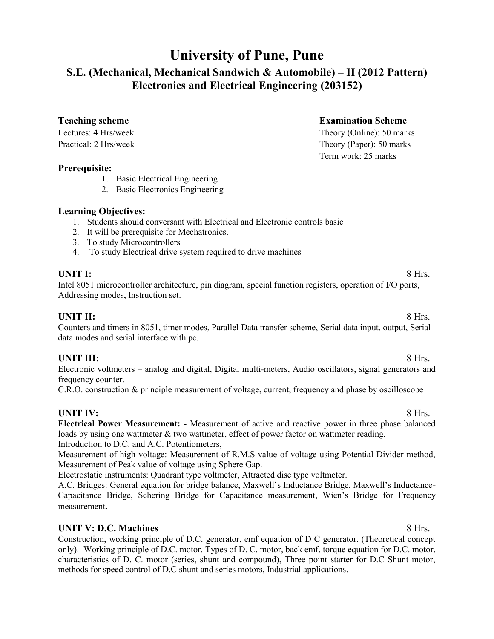# **University of Pune, Pune**

# **S.E. (Mechanical, Mechanical Sandwich & Automobile) – II (2012 Pattern) Electronics and Electrical Engineering (203152)**

**Teaching scheme Examination Scheme** 

Term work: 25 marks

Lectures: 4 Hrs/week Theory (Online): 50 marks Practical: 2 Hrs/week Theory (Paper): 50 marks

#### **Prerequisite:**

- 1. Basic Electrical Engineering
- 2. Basic Electronics Engineering

#### **Learning Objectives:**

- 1. Students should conversant with Electrical and Electronic controls basic
- 2. It will be prerequisite for Mechatronics.
- 3. To study Microcontrollers
- 4. To study Electrical drive system required to drive machines

**UNIT I:** 8 Hrs. Intel 8051 microcontroller architecture, pin diagram, special function registers, operation of I/O ports, Addressing modes, Instruction set.

**UNIT II:** 8 Hrs. Counters and timers in 8051, timer modes, Parallel Data transfer scheme, Serial data input, output, Serial data modes and serial interface with pc.

### **UNIT III:** 8 Hrs.

Electronic voltmeters – analog and digital, Digital multi-meters, Audio oscillators, signal generators and frequency counter.

C.R.O. construction & principle measurement of voltage, current, frequency and phase by oscilloscope

**UNIT IV:** 8 Hrs. **Electrical Power Measurement:** - Measurement of active and reactive power in three phase balanced loads by using one wattmeter & two wattmeter, effect of power factor on wattmeter reading. Introduction to D.C. and A.C. Potentiometers,

Measurement of high voltage: Measurement of R.M.S value of voltage using Potential Divider method, Measurement of Peak value of voltage using Sphere Gap.

Electrostatic instruments: Quadrant type voltmeter, Attracted disc type voltmeter.

A.C. Bridges: General equation for bridge balance, Maxwell's Inductance Bridge, Maxwell's Inductance-Capacitance Bridge, Schering Bridge for Capacitance measurement, Wien's Bridge for Frequency measurement.

### **UNIT V: D.C. Machines** 8 Hrs.

Construction, working principle of D.C. generator, emf equation of D C generator. (Theoretical concept only). Working principle of D.C. motor. Types of D. C. motor, back emf, torque equation for D.C. motor, characteristics of D. C. motor (series, shunt and compound), Three point starter for D.C Shunt motor, methods for speed control of D.C shunt and series motors, Industrial applications.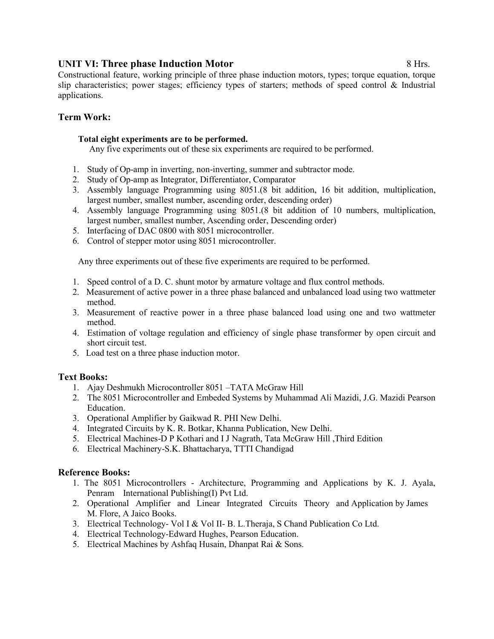#### **UNIT VI: Three phase Induction Motor 8 Hrs. 8 Hrs.**

Constructional feature, working principle of three phase induction motors, types; torque equation, torque slip characteristics; power stages; efficiency types of starters; methods of speed control & Industrial applications.

#### **Term Work:**

#### **Total eight experiments are to be performed.**

Any five experiments out of these six experiments are required to be performed.

- 1. Study of Op-amp in inverting, non-inverting, summer and subtractor mode.
- 2. Study of Op-amp as Integrator, Differentiator, Comparator
- 3. Assembly language Programming using 8051.(8 bit addition, 16 bit addition, multiplication, largest number, smallest number, ascending order, descending order)
- 4. Assembly language Programming using 8051.(8 bit addition of 10 numbers, multiplication, largest number, smallest number, Ascending order, Descending order)
- 5. Interfacing of DAC 0800 with 8051 microcontroller.
- 6. Control of stepper motor using 8051 microcontroller.

Any three experiments out of these five experiments are required to be performed.

- 1. Speed control of a D. C. shunt motor by armature voltage and flux control methods.
- 2. Measurement of active power in a three phase balanced and unbalanced load using two wattmeter method.
- 3. Measurement of reactive power in a three phase balanced load using one and two wattmeter method.
- 4. Estimation of voltage regulation and efficiency of single phase transformer by open circuit and short circuit test.
- 5. Load test on a three phase induction motor.

#### **Text Books:**

- 1. Ajay Deshmukh Microcontroller 8051 –TATA McGraw Hill
- 2. The 8051 Microcontroller and Embeded Systems by Muhammad Ali Mazidi, J.G. Mazidi Pearson Education.
- 3. Operational Amplifier by Gaikwad R. PHI New Delhi.
- 4. Integrated Circuits by K. R. Botkar, Khanna Publication, New Delhi.
- 5. Electrical Machines-D P Kothari and I J Nagrath, Tata McGraw Hill ,Third Edition
- 6. Electrical Machinery-S.K. Bhattacharya, TTTI Chandigad

- 1. The 8051 Microcontrollers Architecture, Programming and Applications by K. J. Ayala, Penram International Publishing(I) Pvt Ltd.
- 2. Operational Amplifier and Linear Integrated Circuits Theory and Application by James M. Flore, A Jaico Books.
- 3. Electrical Technology- Vol I & Vol II- B. L.Theraja, S Chand Publication Co Ltd.
- 4. Electrical Technology-Edward Hughes, Pearson Education.
- 5. Electrical Machines by Ashfaq Husain, Dhanpat Rai & Sons.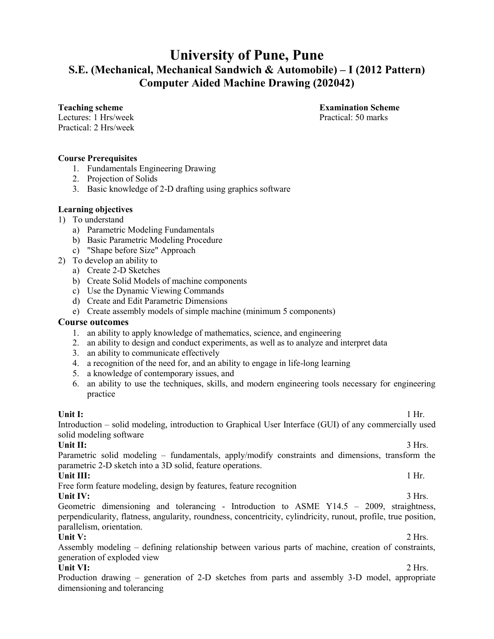# **University of Pune, Pune S.E. (Mechanical, Mechanical Sandwich & Automobile) – I (2012 Pattern) Computer Aided Machine Drawing (202042)**

Lectures: 1 Hrs/week Practical: 50 marks Practical: 2 Hrs/week

**Teaching scheme Examination Scheme** 

#### **Course Prerequisites**

- 1. Fundamentals Engineering Drawing
- 2. Projection of Solids
- 3. Basic knowledge of 2-D drafting using graphics software

#### **Learning objectives**

- 1) To understand
	- a) Parametric Modeling Fundamentals
	- b) Basic Parametric Modeling Procedure
	- c) "Shape before Size" Approach
- 2) To develop an ability to
	- a) Create 2-D Sketches
	- b) Create Solid Models of machine components
	- c) Use the Dynamic Viewing Commands
	- d) Create and Edit Parametric Dimensions
	- e) Create assembly models of simple machine (minimum 5 components)

#### **Course outcomes**

- 1. an ability to apply knowledge of mathematics, science, and engineering
- 2. an ability to design and conduct experiments, as well as to analyze and interpret data
- 3. an ability to communicate effectively
- 4. a recognition of the need for, and an ability to engage in life-long learning
- 5. a knowledge of contemporary issues, and
- 6. an ability to use the techniques, skills, and modern engineering tools necessary for engineering practice

**Unit I:** 1 Hr.

Introduction – solid modeling, introduction to Graphical User Interface (GUI) of any commercially used solid modeling software

**Unit II:**  $3 \text{ Hrs.}$ Parametric solid modeling – fundamentals, apply/modify constraints and dimensions, transform the parametric 2-D sketch into a 3D solid, feature operations.

#### **Unit III:** 1 Hr.

Free form feature modeling, design by features, feature recognition

Unit IV: 3 Hrs. Geometric dimensioning and tolerancing - Introduction to ASME Y14.5 – 2009, straightness, perpendicularity, flatness, angularity, roundness, concentricity, cylindricity, runout, profile, true position, parallelism, orientation.

**Unit V:** 2 Hrs. Assembly modeling – defining relationship between various parts of machine, creation of constraints, generation of exploded view

#### Unit VI: 2 Hrs.

Production drawing – generation of 2-D sketches from parts and assembly 3-D model, appropriate dimensioning and tolerancing